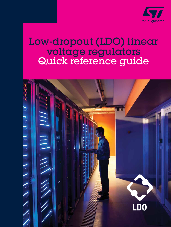

# Low-dropout (LDO) linear voltage regulators Quick reference guide

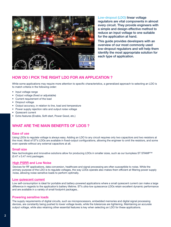

[Low-dropout \(LDO\)](https://www.st.com/en/power-management/ultra-low-dropout-ldo-regulators.html) linear voltage regulators are vital components in almost every circuit. They provide engineers with a simple and design-effective method to reduce an input voltage to one suitable for the application at hand.

This guide provides developers with an overview of our most commonly used low-dropout regulators and will help them identify the most appropriate solution for each type of application.

# HOW DO I PICK THE RIGHT LDO FOR AN APPLICATION ?

While some applications may require more attention to specific characteristics, a generalized approach to selecting an LDO is to match criteria in the following order:

- Input voltage range
- Output voltage (fixed or adjustable)
- Current requirement of the load
- Dropout voltage
- Output accuracy, in relation to line, load and temperature
- Power supply rejection ratio and output noise voltage
- Quiescent current
- Extra features (Enable, Soft-start, Power Good, etc.)

# WHAT ARE THE MAIN BENEFITS OF LDOS ?

#### Ease of use

Using LDOs to regulate voltage is always easy. Adding an LDO to any circuit requires only two capacitors and two resistors at the most. Most of ST's LDOs are available in fixed-output configurations, allowing the engineer to omit the resistors, and some even operate without any external capacitors at all.

#### Small size

New technologies and innovative solutions allow for producing LDOs in smaller sizes, such as our bumpless ST STAMP™ (0.47 x 0.47 mm) packages.

#### [High PSRR](https://www.st.com/en/power-management/high-psrr-ldo-regulators.html) and Low Noise

Devices for RF applications, data conversion, healthcare and signal processing are often susceptible to noise. While the primary purpose of the LDO is to regulate voltages, the way LDOs operate also makes them efficient at filtering power supply noise, allowing noise-sensitive loads to perform optimally.

#### [Low quiescent current](https://www.st.com/en/power-management/low-iq-ldo-regulators.html)

Low self-consumption is ideal for portable and battery-powered applications where a small quiescent current can make a large difference in regards to the application's battery lifetime. ST's ultra-low quiescence LDOs retain excellent dynamic performance and are available in a variety of small footprint packages..

#### Powering sensitive loads

The supply requirements of digital circuits, such as microprocessors, embedded memories and digital signal processing devices, are constantly being pushed to lower voltage levels, while the tolerances are tightening. Maintaining an accurate output voltage, while also retaining other essential features is key when selecting an LDO for these applications.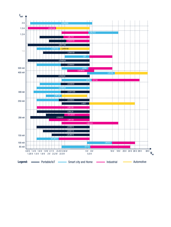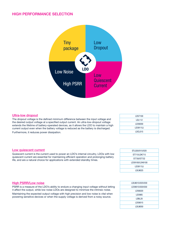### HIGH PERFORMANCE SELECTION



#### [Ultra-low dropout](https://www.st.com/en/power-management/ultra-low-dropout-ldo-regulators.html)

The dropout voltage is the defined minimum difference between the input voltage and the desired output voltage at a specified output current. An ultra-low-dropout voltage extends the lifetime of battery-operated devices, as it allows the LDO to maintain a high current output even when the battery voltage is reduced as the battery is discharged. Furthermore, it reduces power dissipation.

Quiescent current is the current used to power an LDO's internal circuitry. LDOs with low quiescent current are essential for maintaining efficient operation and prolonging battery

life, and are a natural choice for applications with extended standby times.

| LD57100       |  |
|---------------|--|
| <b>LDL112</b> |  |
| LD39200       |  |
| LD39115J      |  |
| LDCL015       |  |

| STLQ50/015/020  |
|-----------------|
| ST715/LDK715    |
| ST730/ST732     |
| LD39100/LD49100 |
| LD39115J        |
| LDLN025         |

| LDLN015/025/030    |
|--------------------|
| LD39015/020/030    |
| LD56020            |
| LD3985             |
| LDBL <sub>20</sub> |
| LD59015            |
| LDLN050            |

#### **[High PSRR/Low noise](https://www.st.com/en/power-management/high-psrr-ldo-regulators.html)**

[Low quiescent current](https://www.st.com/en/power-management/low-iq-ldo-regulators.html)

PSRR is a measure of the LDO's ability to endure a changing input voltage without letting it affect the output, while low noise LDOs are designed to minimize the intrinsic noise.

Maintaining the expected output voltage with high precision and low noise is vital when powering sensitive devices or when the supply voltage is derived from a noisy source.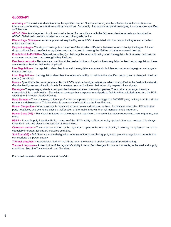#### **GLOSSARY**

Accuracy – The maximum deviation from the specified output. Nominal accuracy can be affected by factors such as low tolerance components, temperature and load variations. Commonly cited across temperature ranges, it is sometimes specified as Tolerance.

AEC-Q100 – Any integrated circuit needs to be tested for compliance with the failure modes/stress tests as described in AEC-Q100 before it can be marketed as an automotive-grade device.

Bias voltage (Vbias) – An external power rail required by some LDOs. Associated with low dropout voltages and excellent noise characteristics.

Dropout voltage – The dropout voltage is a measure of the smallest difference between input and output voltages. A lower dropout allows for more effective regulation and can be used to prolong the lifetime of battery-powered devices.

Enable/Inhibit (EN/INH) – Externally enabling (or disabling) the internal circuitry when the regulator isn't required reduces the consumed current and can prolong battery lifetime.

Feedback network – Resistors are used to set the desired output voltage in a linear regulator. In fixed output regulators, these are already embedded inside the chip itself.

Line Regulation – Line regulation describes how well the regulator can maintain its intended output voltage given a change in the input voltage.

Load Regulation – Load regulation describes the regulator's ability to maintain the specified output given a change in the load (output) conditions.

Noise – Specifically the noise generated by the LDO's internal bandgap reference, which is amplified in the feedback network. Good noise figures are critical in circuits for wireless communication or that rely on high-speed clock signals.

Package – The packaging size is a compromise between size and thermal properties. The smaller a package, the more susceptible it is to self-heating. Some larger packages have exposed metal pads to facilitate thermal dissipation into the PCB, allowing for improved passive cooling.

Pass Element – The voltage regulation is performed by applying a variable voltage to a MOSFET gate, making it act in a similar way to a variable resistor. This transistor is commonly referred to as the Pass Element.

Power Dissipation – When a voltage is regulated, excess power is dissipated as heat. As heat can affect the LDO and other parts negatively, and eventually cause a malfunction or thermal shutdown, thermal management is important.

Power Good (PG) – This signal indicates that the output is in regulation. It is useful for power-sequencing, reset triggering, and more.

PSRR – Power Supply Rejection Ratio, measure of the LDO's ability to filter out noisy ripples in the input voltage. It is always specified in dB, and always over a range of frequencies.

Quiescent current – The current consumed by the regulator to operate the internal circuitry. Lowering the quiescent current is especially important for battery-powered solutions.

Soft Start (SS) – Soft Start is a controlled gradual increase of the power throughput, which prevents large inrush currents that can overload the power supply.

Thermal shutdown – A protective function that shuts down the device to prevent damage from overheating.

Transient response – A description of the regulator's ability to resist fast changes, known as transients, in the load and supply conditions. See Line Transient and Load Transient.

For more information visit us on www.st.com/ldo